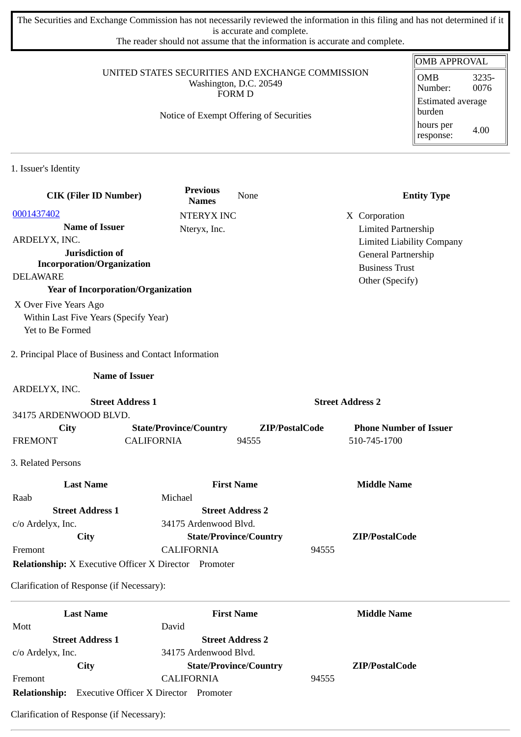The Securities and Exchange Commission has not necessarily reviewed the information in this filing and has not determined if it is accurate and complete.

The reader should not assume that the information is accurate and complete.

### UNITED STATES SECURITIES AND EXCHANGE COMMISSION Washington, D.C. 20549 FORM D

## Notice of Exempt Offering of Securities

| <b>OMB APPROVAL</b>                |               |
|------------------------------------|---------------|
| <b>OMB</b><br>Number:              | 3235-<br>0076 |
| <b>Estimated average</b><br>burden |               |
| hours per<br>response:             | 4.00          |

1. Issuer's Identity

| <b>CIK (Filer ID Number)</b>                                 | <b>Previous</b><br><b>Names</b> | None                          | <b>Entity Type</b>                           |
|--------------------------------------------------------------|---------------------------------|-------------------------------|----------------------------------------------|
| 0001437402                                                   | NTERYX INC                      |                               | X Corporation                                |
| <b>Name of Issuer</b>                                        | Nteryx, Inc.                    |                               | <b>Limited Partnership</b>                   |
| ARDELYX, INC.                                                |                                 |                               | <b>Limited Liability Company</b>             |
| Jurisdiction of<br><b>Incorporation/Organization</b>         |                                 |                               | General Partnership<br><b>Business Trust</b> |
| <b>DELAWARE</b>                                              |                                 |                               | Other (Specify)                              |
| <b>Year of Incorporation/Organization</b>                    |                                 |                               |                                              |
| X Over Five Years Ago                                        |                                 |                               |                                              |
| Within Last Five Years (Specify Year)<br>Yet to Be Formed    |                                 |                               |                                              |
| 2. Principal Place of Business and Contact Information       |                                 |                               |                                              |
|                                                              | <b>Name of Issuer</b>           |                               |                                              |
| ARDELYX, INC.                                                |                                 |                               |                                              |
|                                                              | <b>Street Address 1</b>         |                               | <b>Street Address 2</b>                      |
| 34175 ARDENWOOD BLVD.                                        |                                 |                               |                                              |
| <b>City</b>                                                  | <b>State/Province/Country</b>   | ZIP/PostalCode                | <b>Phone Number of Issuer</b>                |
| <b>FREMONT</b>                                               | <b>CALIFORNIA</b>               | 94555                         | 510-745-1700                                 |
| 3. Related Persons                                           |                                 |                               |                                              |
| <b>Last Name</b>                                             |                                 | <b>First Name</b>             | <b>Middle Name</b>                           |
| Raab                                                         | Michael                         |                               |                                              |
| <b>Street Address 1</b>                                      |                                 | <b>Street Address 2</b>       |                                              |
| c/o Ardelyx, Inc.                                            | 34175 Ardenwood Blvd.           |                               |                                              |
| City                                                         |                                 | <b>State/Province/Country</b> | ZIP/PostalCode                               |
| Fremont                                                      | <b>CALIFORNIA</b>               | 94555                         |                                              |
| <b>Relationship:</b> X Executive Officer X Director Promoter |                                 |                               |                                              |
| Clarification of Response (if Necessary):                    |                                 |                               |                                              |
| <b>Last Name</b>                                             |                                 | <b>First Name</b>             | <b>Middle Name</b>                           |
| Mott                                                         | David                           |                               |                                              |
| <b>Street Address 1</b>                                      |                                 | <b>Street Address 2</b>       |                                              |
| c/o Ardelyx, Inc.                                            | 34175 Ardenwood Blvd.           |                               |                                              |
| City                                                         |                                 | <b>State/Province/Country</b> | ZIP/PostalCode                               |
| Fremont                                                      | <b>CALIFORNIA</b>               | 94555                         |                                              |

Clarification of Response (if Necessary):

**Relationship:** Executive Officer X Director Promoter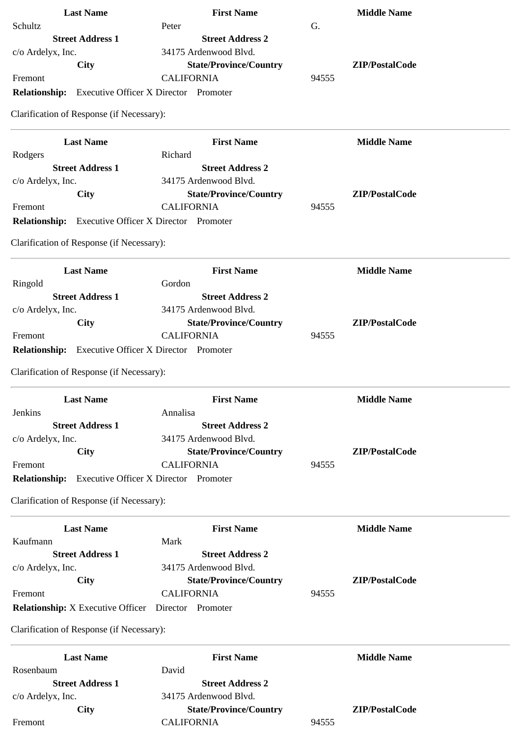| <b>Last Name</b>                                           | <b>First Name</b>                                  | <b>Middle Name</b>      |
|------------------------------------------------------------|----------------------------------------------------|-------------------------|
| Schultz                                                    | Peter                                              | G.                      |
| <b>Street Address 1</b>                                    | <b>Street Address 2</b>                            |                         |
| c/o Ardelyx, Inc.                                          | 34175 Ardenwood Blvd.                              |                         |
| <b>City</b>                                                | <b>State/Province/Country</b>                      | ZIP/PostalCode          |
| Fremont                                                    | <b>CALIFORNIA</b>                                  | 94555                   |
| <b>Relationship:</b> Executive Officer X Director Promoter |                                                    |                         |
| Clarification of Response (if Necessary):                  |                                                    |                         |
| <b>Last Name</b>                                           | <b>First Name</b>                                  | <b>Middle Name</b>      |
| Rodgers                                                    | Richard                                            |                         |
| <b>Street Address 1</b>                                    | <b>Street Address 2</b>                            |                         |
| c/o Ardelyx, Inc.                                          | 34175 Ardenwood Blvd.                              |                         |
| City                                                       | <b>State/Province/Country</b>                      | ZIP/PostalCode          |
| Fremont                                                    | <b>CALIFORNIA</b>                                  | 94555                   |
| <b>Relationship:</b> Executive Officer X Director Promoter |                                                    |                         |
| Clarification of Response (if Necessary):                  |                                                    |                         |
| <b>Last Name</b>                                           | <b>First Name</b>                                  | <b>Middle Name</b>      |
| Ringold                                                    | Gordon                                             |                         |
| <b>Street Address 1</b>                                    | <b>Street Address 2</b>                            |                         |
| c/o Ardelyx, Inc.                                          | 34175 Ardenwood Blvd.                              |                         |
| <b>City</b>                                                | <b>State/Province/Country</b>                      | ZIP/PostalCode          |
| Fremont                                                    | <b>CALIFORNIA</b>                                  | 94555                   |
| <b>Relationship:</b> Executive Officer X Director Promoter |                                                    |                         |
| Clarification of Response (if Necessary):                  |                                                    |                         |
| <b>Last Name</b>                                           | <b>First Name</b>                                  | <b>Middle Name</b>      |
| Jenkins                                                    | Annalisa                                           |                         |
| <b>Street Address 1</b>                                    | <b>Street Address 2</b>                            |                         |
| c/o Ardelyx, Inc.                                          | 34175 Ardenwood Blvd.                              |                         |
| City                                                       | <b>State/Province/Country</b>                      | ZIP/PostalCode          |
| Fremont                                                    | <b>CALIFORNIA</b>                                  | 94555                   |
| <b>Relationship:</b>                                       | <b>Executive Officer X Director Promoter</b>       |                         |
| Clarification of Response (if Necessary):                  |                                                    |                         |
| <b>Last Name</b>                                           | <b>First Name</b>                                  | <b>Middle Name</b>      |
| Kaufmann                                                   | Mark                                               |                         |
| <b>Street Address 1</b>                                    | <b>Street Address 2</b>                            |                         |
| c/o Ardelyx, Inc.                                          | 34175 Ardenwood Blvd.                              |                         |
| City<br>Fremont                                            | <b>State/Province/Country</b><br><b>CALIFORNIA</b> | ZIP/PostalCode<br>94555 |
|                                                            |                                                    |                         |
| <b>Relationship:</b> X Executive Officer Director Promoter |                                                    |                         |
| Clarification of Response (if Necessary):                  |                                                    |                         |
| <b>Last Name</b>                                           | <b>First Name</b>                                  | <b>Middle Name</b>      |
| Rosenbaum                                                  | David                                              |                         |
| <b>Street Address 1</b>                                    | <b>Street Address 2</b>                            |                         |
| c/o Ardelyx, Inc.                                          | 34175 Ardenwood Blvd.                              |                         |
| City                                                       | <b>State/Province/Country</b>                      | ZIP/PostalCode          |
| Fremont                                                    | <b>CALIFORNIA</b>                                  | 94555                   |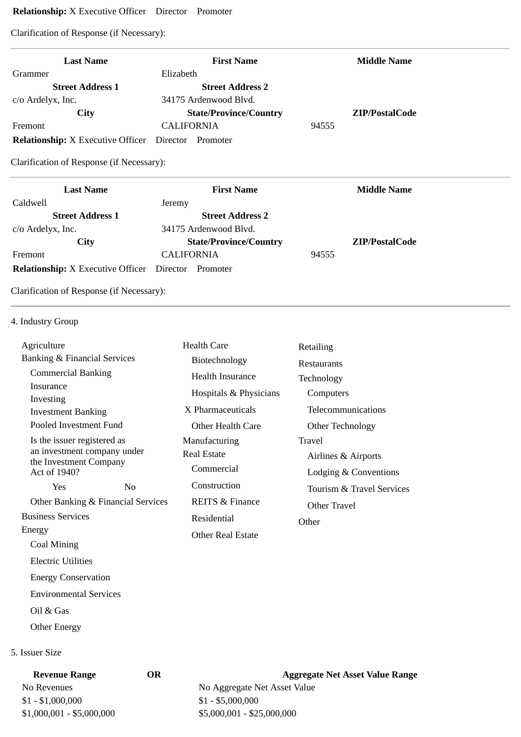# **Relationship:** X Executive Officer Director Promoter

Clarification of Response (if Necessary):

| <b>Last Name</b>                                  | <b>First Name</b>             |       | <b>Middle Name</b> |
|---------------------------------------------------|-------------------------------|-------|--------------------|
| Grammer                                           | Elizabeth                     |       |                    |
| <b>Street Address 1</b>                           | <b>Street Address 2</b>       |       |                    |
| c/o Ardelyx, Inc.                                 | 34175 Ardenwood Blvd.         |       |                    |
| <b>City</b>                                       | <b>State/Province/Country</b> |       | ZIP/PostalCode     |
| Fremont                                           | <b>CALIFORNIA</b>             | 94555 |                    |
| <b>Relationship:</b> X Executive Officer Director | Promoter                      |       |                    |
| Clarification of Response (if Necessary):         |                               |       |                    |

| <b>Last Name</b>                                  | <b>First Name</b>             | <b>Middle Name</b> |
|---------------------------------------------------|-------------------------------|--------------------|
| Caldwell                                          | Jeremy                        |                    |
| <b>Street Address 1</b>                           | <b>Street Address 2</b>       |                    |
| c/o Ardelyx, Inc.                                 | 34175 Ardenwood Blyd.         |                    |
| City                                              | <b>State/Province/Country</b> | ZIP/PostalCode     |
| Fremont                                           | <b>CALIFORNIA</b>             | 94555              |
| <b>Relationship:</b> X Executive Officer Director | Promoter                      |                    |

Clarification of Response (if Necessary):

## 4. Industry Group

| Agriculture                                           |                                    | <b>Health Care</b>         | Retailing                 |
|-------------------------------------------------------|------------------------------------|----------------------------|---------------------------|
| Banking & Financial Services                          |                                    | Biotechnology              | Restaurants               |
| <b>Commercial Banking</b>                             |                                    | Health Insurance           | Technology                |
| Insurance<br>Investing                                |                                    | Hospitals & Physicians     | Computers                 |
| <b>Investment Banking</b>                             |                                    | X Pharmaceuticals          | Telecommunications        |
| Pooled Investment Fund                                |                                    | Other Health Care          | Other Technology          |
| Is the issuer registered as                           |                                    | Manufacturing              | Travel                    |
| an investment company under<br>the Investment Company |                                    | Real Estate                | Airlines & Airports       |
| Act of 1940?                                          |                                    | Commercial                 | Lodging & Conventions     |
| Yes                                                   | No                                 | Construction               | Tourism & Travel Services |
|                                                       | Other Banking & Financial Services | <b>REITS &amp; Finance</b> | Other Travel              |
| <b>Business Services</b>                              |                                    | Residential                | Other                     |
| Energy                                                |                                    | <b>Other Real Estate</b>   |                           |
| Coal Mining                                           |                                    |                            |                           |

Electric Utilities

Energy Conservation

Other Energy

## 5. Issuer Size

| <b>Revenue Range</b>      | OR | <b>Aggregate Net Asset Value Range</b> |
|---------------------------|----|----------------------------------------|
| No Revenues               |    | No Aggregate Net Asset Value           |
| $$1 - $1,000,000$         |    | $$1 - $5,000,000$                      |
| $$1,000,001 - $5,000,000$ |    | $$5,000,001 - $25,000,000$             |
|                           |    |                                        |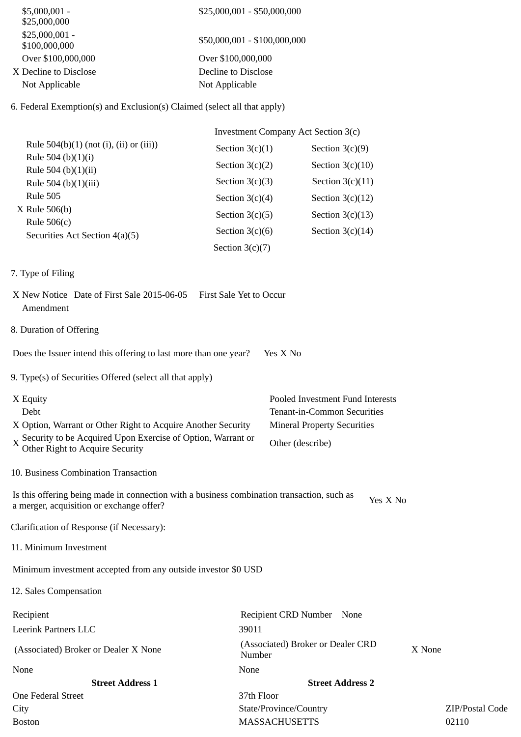| $$5,000,001$ -<br>\$25,000,000   | \$25,000,001 - \$50,000,000  |
|----------------------------------|------------------------------|
| $$25,000,001 -$<br>\$100,000,000 | \$50,000,001 - \$100,000,000 |
| Over \$100,000,000               | Over \$100,000,000           |
| X Decline to Disclose            | Decline to Disclose          |
| Not Applicable                   | Not Applicable               |
|                                  |                              |

6. Federal Exemption(s) and Exclusion(s) Claimed (select all that apply)

|                                                                                                                                        |                         | <b>Investment Company Act Section 3(c)</b>                                                            |        |
|----------------------------------------------------------------------------------------------------------------------------------------|-------------------------|-------------------------------------------------------------------------------------------------------|--------|
| Rule $504(b)(1)$ (not (i), (ii) or (iii))                                                                                              | Section $3(c)(1)$       | Section $3(c)(9)$                                                                                     |        |
| Rule 504 (b) $(1)(i)$<br>Rule 504 (b)(1)(ii)                                                                                           | Section $3(c)(2)$       | Section $3(c)(10)$                                                                                    |        |
| Rule 504 (b)(1)(iii)                                                                                                                   | Section $3(c)(3)$       | Section $3(c)(11)$                                                                                    |        |
| <b>Rule 505</b>                                                                                                                        | Section $3(c)(4)$       | Section $3(c)(12)$                                                                                    |        |
| X Rule 506(b)                                                                                                                          | Section $3(c)(5)$       | Section $3(c)(13)$                                                                                    |        |
| Rule $506(c)$                                                                                                                          | Section $3(c)(6)$       | Section $3(c)(14)$                                                                                    |        |
| Securities Act Section 4(a)(5)                                                                                                         | Section $3(c)(7)$       |                                                                                                       |        |
| 7. Type of Filing                                                                                                                      |                         |                                                                                                       |        |
| X New Notice Date of First Sale 2015-06-05<br>Amendment                                                                                | First Sale Yet to Occur |                                                                                                       |        |
| 8. Duration of Offering                                                                                                                |                         |                                                                                                       |        |
| Does the Issuer intend this offering to last more than one year?                                                                       | Yes X No                |                                                                                                       |        |
| 9. Type(s) of Securities Offered (select all that apply)                                                                               |                         |                                                                                                       |        |
| X Equity<br>Debt<br>X Option, Warrant or Other Right to Acquire Another Security                                                       |                         | Pooled Investment Fund Interests<br>Tenant-in-Common Securities<br><b>Mineral Property Securities</b> |        |
| X Security to be Acquired Upon Exercise of Option, Warrant or<br>Other Right to Acquire Security                                       |                         | Other (describe)                                                                                      |        |
| 10. Business Combination Transaction                                                                                                   |                         |                                                                                                       |        |
| Is this offering being made in connection with a business combination transaction, such as<br>a merger, acquisition or exchange offer? |                         | Yes X No                                                                                              |        |
| Clarification of Response (if Necessary):                                                                                              |                         |                                                                                                       |        |
| 11. Minimum Investment                                                                                                                 |                         |                                                                                                       |        |
| Minimum investment accepted from any outside investor \$0 USD                                                                          |                         |                                                                                                       |        |
| 12. Sales Compensation                                                                                                                 |                         |                                                                                                       |        |
| Recipient                                                                                                                              |                         | Recipient CRD Number None                                                                             |        |
| <b>Leerink Partners LLC</b>                                                                                                            | 39011                   |                                                                                                       |        |
| (Associated) Broker or Dealer X None                                                                                                   | Number                  | (Associated) Broker or Dealer CRD                                                                     | X None |
| None                                                                                                                                   | None                    |                                                                                                       |        |
| <b>Street Address 1</b>                                                                                                                |                         | <b>Street Address 2</b>                                                                               |        |
| <b>One Federal Street</b>                                                                                                              | 37th Floor              |                                                                                                       |        |
| City                                                                                                                                   | State/Province/Country  |                                                                                                       | ZIP/P  |
| <b>Boston</b>                                                                                                                          | <b>MASSACHUSETTS</b>    |                                                                                                       | 02110  |

ZIP/Postal Code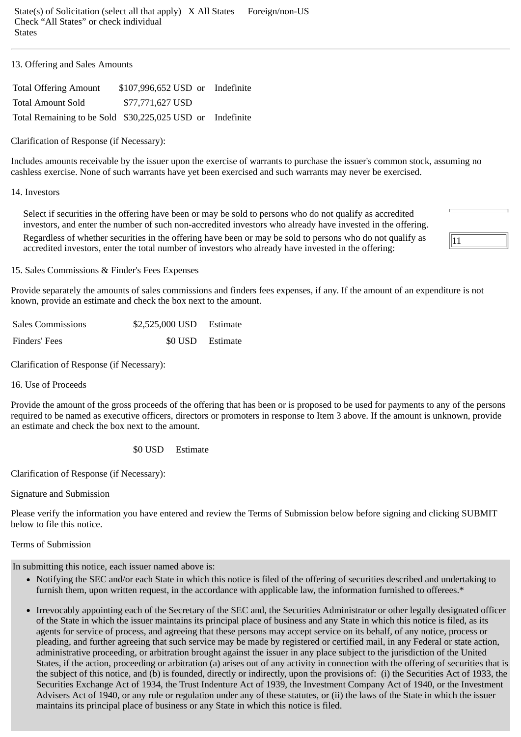State(s) of Solicitation (select all that apply) X All States Check "All States" or check individual **States** Foreign/non-US

13. Offering and Sales Amounts

Total Offering Amount \$107,996,652 USD or Indefinite Total Amount Sold \$77,771,627 USD Total Remaining to be Sold \$30,225,025 USD or Indefinite

Clarification of Response (if Necessary):

Includes amounts receivable by the issuer upon the exercise of warrants to purchase the issuer's common stock, assuming no cashless exercise. None of such warrants have yet been exercised and such warrants may never be exercised.

#### 14. Investors

Select if securities in the offering have been or may be sold to persons who do not qualify as accredited investors, and enter the number of such non-accredited investors who already have invested in the offering.

Regardless of whether securities in the offering have been or may be sold to persons who do not qualify as accredited investors, enter the total number of investors who already have invested in the offering:



15. Sales Commissions & Finder's Fees Expenses

Provide separately the amounts of sales commissions and finders fees expenses, if any. If the amount of an expenditure is not known, provide an estimate and check the box next to the amount.

| <b>Sales Commissions</b> | \$2,525,000 USD Estimate |                  |
|--------------------------|--------------------------|------------------|
| Finders' Fees            |                          | \$0 USD Estimate |

Clarification of Response (if Necessary):

16. Use of Proceeds

Provide the amount of the gross proceeds of the offering that has been or is proposed to be used for payments to any of the persons required to be named as executive officers, directors or promoters in response to Item 3 above. If the amount is unknown, provide an estimate and check the box next to the amount.

#### \$0 USD Estimate

Clarification of Response (if Necessary):

Signature and Submission

Please verify the information you have entered and review the Terms of Submission below before signing and clicking SUBMIT below to file this notice.

Terms of Submission

In submitting this notice, each issuer named above is:

- Notifying the SEC and/or each State in which this notice is filed of the offering of securities described and undertaking to furnish them, upon written request, in the accordance with applicable law, the information furnished to offerees.\*
- Irrevocably appointing each of the Secretary of the SEC and, the Securities Administrator or other legally designated officer of the State in which the issuer maintains its principal place of business and any State in which this notice is filed, as its agents for service of process, and agreeing that these persons may accept service on its behalf, of any notice, process or pleading, and further agreeing that such service may be made by registered or certified mail, in any Federal or state action, administrative proceeding, or arbitration brought against the issuer in any place subject to the jurisdiction of the United States, if the action, proceeding or arbitration (a) arises out of any activity in connection with the offering of securities that is the subject of this notice, and (b) is founded, directly or indirectly, upon the provisions of: (i) the Securities Act of 1933, the Securities Exchange Act of 1934, the Trust Indenture Act of 1939, the Investment Company Act of 1940, or the Investment Advisers Act of 1940, or any rule or regulation under any of these statutes, or (ii) the laws of the State in which the issuer maintains its principal place of business or any State in which this notice is filed.